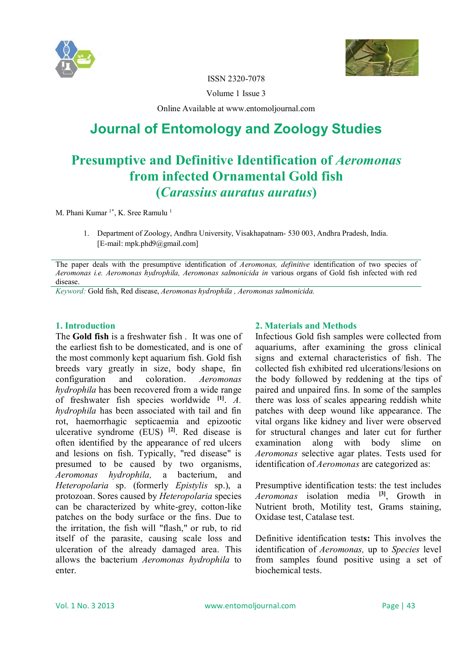



ISSN 2320-7078

Volume 1 Issue 3

Online Available at www.entomoljournal.com

# **Journal of Entomology and Zoology Studies**

## **Presumptive and Definitive Identification of** *Aeromonas*  **from infected Ornamental Gold fish (***Carassius auratus auratus***)**

M. Phani Kumar<sup>1\*</sup>, K. Sree Ramulu<sup>1</sup>

1. Department of Zoology, Andhra University, Visakhapatnam- 530 003, Andhra Pradesh, India. [E-mail: mpk.phd9@gmail.com]

The paper deals with the presumptive identification of *Aeromonas, definitive* identification of two species of *Aeromonas i.e. Aeromonas hydrophila, Aeromonas salmonicida in* various organs of Gold fish infected with red disease.

*Keyword:* Gold fish, Red disease, *Aeromonas hydrophila , Aeromonas salmonicida.*

#### **1. Introduction**

The **Gold fish** is a freshwater fish . It was one of the earliest fish to be domesticated, and is one of the most commonly kept aquarium fish. Gold fish breeds vary greatly in size, body shape, fin configuration and coloration. *Aeromonas hydrophila* has been recovered from a wide range of freshwater fish species worldwide **[1]** . *A. hydrophila* has been associated with tail and fin rot, haemorrhagic septicaemia and epizootic ulcerative syndrome (EUS) **[2]**. Red disease is often identified by the appearance of red ulcers and lesions on fish. Typically, "red disease" is presumed to be caused by two organisms, *Aeromonas hydrophila,* a bacterium, and *Heteropolaria* sp. (formerly *Epistylis* sp.), a protozoan. Sores caused by *Heteropolaria* species can be characterized by white-grey, cotton-like patches on the body surface or the fins. Due to the irritation, the fish will "flash," or rub, to rid itself of the parasite, causing scale loss and ulceration of the already damaged area. This allows the bacterium *Aeromonas hydrophila* to enter.

### **2. Materials and Methods**

Infectious Gold fish samples were collected from aquariums, after examining the gross clinical signs and external characteristics of fish. The collected fish exhibited red ulcerations/lesions on the body followed by reddening at the tips of paired and unpaired fins. In some of the samples there was loss of scales appearing reddish white patches with deep wound like appearance. The vital organs like kidney and liver were observed for structural changes and later cut for further examination along with body slime on *Aeromonas* selective agar plates. Tests used for identification of *Aeromonas* are categorized as:

Presumptive identification tests: the test includes *Aeromonas* isolation media **[3]** , Growth in Nutrient broth, Motility test, Grams staining, Oxidase test, Catalase test.

Definitive identification test**s:** This involves the identification of *Aeromonas,* up to *Species* level from samples found positive using a set of biochemical tests.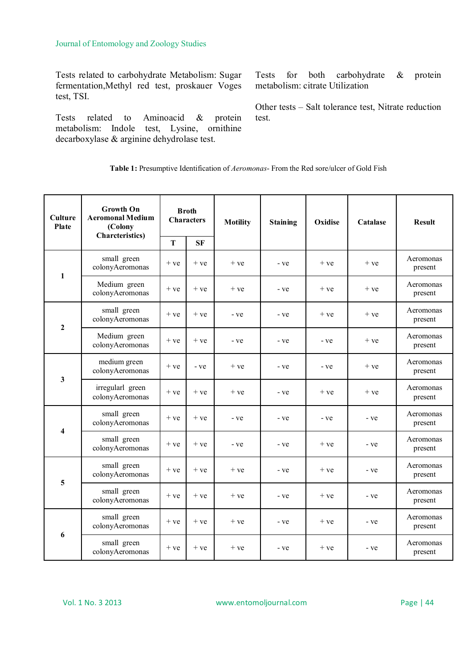Tests related to carbohydrate Metabolism: Sugar fermentation,Methyl red test, proskauer Voges test, TSI.

Tests related to Aminoacid & protein metabolism: Indole test, Lysine, ornithine decarboxylase & arginine dehydrolase test.

Tests for both carbohydrate & protein metabolism: citrate Utilization

Other tests – Salt tolerance test, Nitrate reduction test.

**Table 1:** Presumptive Identification of *Aeromonas*- From the Red sore/ulcer of Gold Fish

| <b>Culture</b><br><b>Plate</b> | <b>Growth On</b><br><b>Aeromonal Medium</b><br>(Colony<br><b>Charcteristics</b> ) | <b>Broth</b><br><b>Characters</b> |       | <b>Motility</b> | <b>Staining</b> | Oxidise | <b>Catalase</b> | <b>Result</b>        |  |
|--------------------------------|-----------------------------------------------------------------------------------|-----------------------------------|-------|-----------------|-----------------|---------|-----------------|----------------------|--|
|                                |                                                                                   | $\mathbf T$                       | SF    |                 |                 |         |                 |                      |  |
| $\mathbf{1}$                   | small green<br>colonyAeromonas                                                    | $+ve$                             | $+ve$ | $+ve$           | - ve            | $+ve$   | $+ve$           | Aeromonas<br>present |  |
|                                | Medium green<br>colonyAeromonas                                                   | $+ve$                             | $+ve$ | $+ve$           | - ve            | $+ve$   | $+ve$           | Aeromonas<br>present |  |
| $\overline{2}$                 | small green<br>colonyAeromonas                                                    | $+ve$                             | $+ve$ | - ve            | - ve            | $+ve$   | $+ve$           | Aeromonas<br>present |  |
|                                | Medium green<br>colonyAeromonas                                                   | $+ve$                             | $+ve$ | - ve            | - ve            | - ve    | $+ve$           | Aeromonas<br>present |  |
| $\mathbf{3}$                   | medium green<br>colonyAeromonas                                                   | $+ve$                             | - ve  | $+ve$           | - ve            | - ve    | $+ve$           | Aeromonas<br>present |  |
|                                | irregularl green<br>colonyAeromonas                                               | $+ve$                             | $+ve$ | $+ve$           | - ve            | $+ve$   | $+ve$           | Aeromonas<br>present |  |
| $\overline{\mathbf{4}}$        | small green<br>colonyAeromonas                                                    | $+$ ve                            | $+ve$ | - ve            | - ve            | - ve    | - ve            | Aeromonas<br>present |  |
|                                | small green<br>colonyAeromonas                                                    | $+ve$                             | $+ve$ | - ve            | - ve            | $+ve$   | - ve            | Aeromonas<br>present |  |
| 5                              | small green<br>colonyAeromonas                                                    | $+ve$                             | $+ve$ | $+ve$           | - ve            | $+ve$   | - ve            | Aeromonas<br>present |  |
|                                | small green<br>colonyAeromonas                                                    | $+ve$                             | $+ve$ | $+ve$           | - ve            | $+ve$   | - ve            | Aeromonas<br>present |  |
| 6                              | small green<br>colonyAeromonas                                                    | $+ve$                             | $+ve$ | $+ve$           | $+ve$<br>- ve   |         | - ve            | Aeromonas<br>present |  |
|                                | small green<br>colonyAeromonas                                                    | $+$ ve                            | $+ve$ | $+ve$           | - ve            | $+ve$   | - ve            | Aeromonas<br>present |  |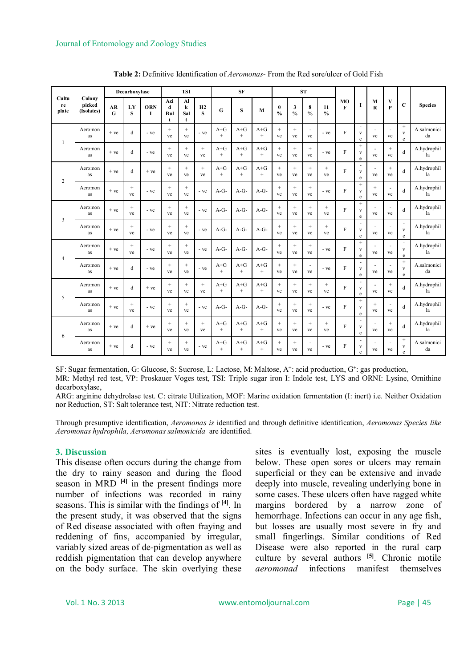| Cultu<br>re<br>plate |                                | Decarboxylase |              |                 | <b>TSI</b>                  |                           | <b>SF</b>    |                   |                   | <b>ST</b>         |                           |                               |                                |                                          |                               |                                   |                      |                                |                                        |                   |
|----------------------|--------------------------------|---------------|--------------|-----------------|-----------------------------|---------------------------|--------------|-------------------|-------------------|-------------------|---------------------------|-------------------------------|--------------------------------|------------------------------------------|-------------------------------|-----------------------------------|----------------------|--------------------------------|----------------------------------------|-------------------|
|                      | Colony<br>picked<br>(Isolates) | AR<br>G       | LY<br>S      | <b>ORN</b><br>1 | Aci<br>d<br><b>Bul</b><br>t | Al<br>$\bf k$<br>Sal<br>t | H2<br>S      | G                 | S                 | M                 | $\bf{0}$<br>$\frac{0}{0}$ | $\mathbf{3}$<br>$\frac{0}{0}$ | 8<br>$\frac{0}{0}$             | 11<br>$\mathbf{0}_{\mathbf{0}}^{\prime}$ | M <sub>O</sub><br>$\mathbf F$ | I                                 | M<br>$\mathbf R$     | V<br>$\mathbf{p}$              | C                                      | <b>Species</b>    |
| $\mathbf{1}$         | Aeromon<br>as                  | $+ve$         | d            | - ve            | $+$<br>ve                   | $^{+}$<br>ve              | - ve         | $A + G$<br>$+$    | $A + G$<br>$^{+}$ | $A + G$<br>$^{+}$ | $^{+}$<br>ve              | $^{+}$<br>ve                  | ×.<br>ve                       | - ve                                     | $\mathbf F$                   | $\sim$<br>$\mathbf{V}$<br>e       | $\sim$<br>ve         | $\sim$<br>ve                   | $^{+}$<br>$\overline{\mathbf{V}}$<br>e | A.salmonici<br>da |
|                      | Aeromon<br>as                  | $+ve$         | d            | - ve            | $+$<br>ve                   | $+$<br>ve                 | $+$<br>ve    | $A + G$<br>$^{+}$ | $A + G$<br>$^{+}$ | $A + G$<br>$^{+}$ | $^{+}$<br>ve              | $+$<br>ve                     | $^{+}$<br>ve                   | - ve                                     | $\mathbf{F}$                  | $^{+}$<br>$\mathbf{V}$<br>$\rm e$ | ve                   | $^{+}$<br>ve                   | d                                      | A.hydrophil<br>la |
| $\overline{c}$       | Aeromon<br>as                  | $+ve$         | d            | $+ve$           | $^{+}$<br>ve                | $^{+}$<br>ve              | $^{+}$<br>ve | $A + G$<br>$+$    | $A + G$<br>$+$    | $A + G$<br>$^{+}$ | $^{+}$<br>ve              | $^{+}$<br>ve                  | $^{+}$<br>ve                   | $\qquad \qquad +$<br>ve                  | $\overline{F}$                | ÷,<br>$\mathbf{V}$<br>$\rm e$     | ٠<br>ve              | $^{+}$<br>ve                   | d                                      | A.hydrophil<br>la |
|                      | Aeromon<br>as                  | $+ve$         | $^{+}$<br>ve | - ve            | $^{+}$<br>ve                | $^{+}$<br>ve              | - ve         | $A-G-$            | $A-G-$            | $A-G-$            | $^{+}$<br>ve              | $^{+}$<br>ve                  | $^{+}$<br>ve                   | - ve                                     | $\mathbf F$                   | $^{+}$<br>$\mathbf{V}$<br>e       | $^{+}$<br>ve         | $\sim$<br>ve                   | d                                      | A.hydrophil<br>la |
| 3                    | Aeromon<br>as                  | $+ve$         | $^{+}$<br>ve | - ve            | $^{+}$<br>ve                | $^{+}$<br>ve              | - ve         | $A-G-$            | $A-G-$            | $A-G-$            | $^{+}$<br>ve              | $^{+}$<br>ve                  | $+$<br>ve                      | $^{+}$<br>ve                             | $\mathbf{F}$                  | $^{+}$<br>$\mathbf{V}$<br>e       | ٠<br>ve              | $\sim$<br>ve                   | d                                      | A.hydrophil<br>la |
|                      | Aeromon<br>as                  | $+ve$         | $+$<br>ve    | - ve            | $^{+}$<br>ve                | $^{+}$<br>ve              | - ve         | $A-G-$            | $A-G-$            | $A-G-$            | $^{+}$<br>ve              | $^{+}$<br>ve                  | $^{+}$<br>ve                   | $\! + \!\!\!\!$<br>ve                    | $\mathbf F$                   | ÷<br>$\mathbf{V}$<br>$\rm e$      | $\sim$<br>ve         | $\overline{\phantom{a}}$<br>ve | $\mathbf{v}$<br>e                      | A.hydrophil<br>la |
| $\overline{4}$       | Aeromon<br>as                  | $+ve$         | $^{+}$<br>ve | - ve            | $^{+}$<br>ve                | $^{+}$<br>ve              | - ve         | $A-G-$            | $A-G-$            | $A-G-$            | $^{+}$<br>ve              | $^{+}$<br>ve                  | $^{+}$<br>ve                   | - ve                                     | $\mathbf F$                   | $^{+}$<br>$\mathbf{V}$<br>e       | $\sim$<br>ve         | $\sim$<br>ve                   | $\mathbf V$<br>e                       | A.hydrophil<br>la |
|                      | Aeromon<br>as                  | $+ve$         | d            | - ve            | $^{+}$<br>ve                | $^{+}$<br>ve              | - ve         | $A + G$<br>$+$    | $A + G$<br>$+$    | $A + G$<br>$^{+}$ | $^{+}$<br>ve              | $^{+}$<br>ve                  | $\overline{\phantom{a}}$<br>ve | - ve                                     | $\mathbf F$                   | ÷.<br>$\mathbf{V}$<br>e           | ve                   | ٠<br>ve                        | $+$<br>$\mathbf{v}$<br>e               | A.salmonici<br>da |
| 5                    | Aeromon<br>as                  | $+ve$         | d            | $+ve$           | $^{+}$<br>ve                | $^{+}$<br>ve              | $^{+}$<br>ve | $A + G$<br>$^{+}$ | $A + G$<br>$^{+}$ | $A + G$<br>$^{+}$ | $^{+}$<br>ve              | $^{+}$<br>ve                  | $^{+}$<br>ve                   | $^{+}$<br>ve                             | $\mathbf{F}$                  | $\sim$<br>$\mathbf{V}$<br>e       | $\overline{a}$<br>ve | $^{+}$<br>ve                   | d                                      | A.hydrophil<br>la |
|                      | Aeromon<br>as                  | $+ve$         | $^{+}$<br>ve | - ve            | $^{+}$<br>ve                | $^{+}$<br>ve              | - ve         | $A-G-$            | $A-G-$            | $A-G-$            | $^{+}$<br>ve              | $^{+}$<br>ve                  | $^{+}$<br>ve                   | - ve                                     | $\mathbf F$                   | $^{+}$<br>$\mathbf{V}$<br>e       | $^{+}$<br>ve         | $\overline{\phantom{a}}$<br>ve | d                                      | A.hydrophil<br>la |
| 6                    | Aeromon<br>as                  | $+ve$         | d            | $+ve$           | $^{+}$<br>ve                | $^{+}$<br>ve              | $+$<br>ve    | $A + G$<br>$^{+}$ | $A + G$<br>$^{+}$ | $A + G$<br>$^{+}$ | $^{+}$<br>ve              | $^{+}$<br>ve                  | $^{+}$<br>ve                   | $^{+}$<br>ve                             | $\mathbf F$                   | ÷.<br>$\mathbf{V}$<br>e           | ÷,<br>ve             | $^{+}$<br>ve                   | d                                      | A.hydrophil<br>la |
|                      | Aeromon<br>as                  | $+ve$         | d            | - ve            | $^{+}$<br>ve                | $^{+}$<br>ve              | - ve         | $A + G$<br>$^{+}$ | $A + G$<br>$^{+}$ | $A + G$<br>$^{+}$ | $^{+}$<br>ve              | $\qquad \qquad +$<br>ve       | $\blacksquare$<br>ve           | - ve                                     | $\mathbf{F}$                  | ×.<br>$\mathbf{V}$<br>e           | ٠<br>ve              | $\overline{\phantom{a}}$<br>ve | $^{+}$<br>$\mathbf{v}$<br>e            | A.salmonici<br>da |

**Table 2:** Definitive Identification of *Aeromonas*- From the Red sore/ulcer of Gold Fish

SF: Sugar fermentation, G: Glucose, S: Sucrose, L: Lactose, M: Maltose, A<sup>+</sup>: acid production, G<sup>+</sup>: gas production,

MR: Methyl red test, VP: Proskauer Voges test, TSI: Triple sugar iron I: Indole test, LYS and ORNI: Lysine, Ornithine decarboxylase,

ARG: arginine dehydrolase test. C: citrate Utilization, MOF: Marine oxidation fermentation (I: inert) i.e. Neither Oxidation nor Reduction, ST: Salt tolerance test, NIT: Nitrate reduction test.

Through presumptive identification, *Aeromonas is* identified and through definitive identification, *Aeromonas Species like Aeromonas hydrophila, Aeromonas salmonicida* are identified.

#### **3. Discussion**

This disease often occurs during the change from the dry to rainy season and during the flood season in MRD **[4]** in the present findings more number of infections was recorded in rainy seasons. This is similar with the findings of **[4]**. In the present study, it was observed that the signs of Red disease associated with often fraying and reddening of fins, accompanied by irregular, variably sized areas of de-pigmentation as well as reddish pigmentation that can develop anywhere on the body surface. The skin overlying these

sites is eventually lost, exposing the muscle below. These open sores or ulcers may remain superficial or they can be extensive and invade deeply into muscle, revealing underlying bone in some cases. These ulcers often have ragged white margins bordered by a narrow zone of hemorrhage. Infections can occur in any age fish, but losses are usually most severe in fry and small fingerlings. Similar conditions of Red Disease were also reported in the rural carp culture by several authors **[5]** . Chronic motile *aeromonad* infections manifest themselves